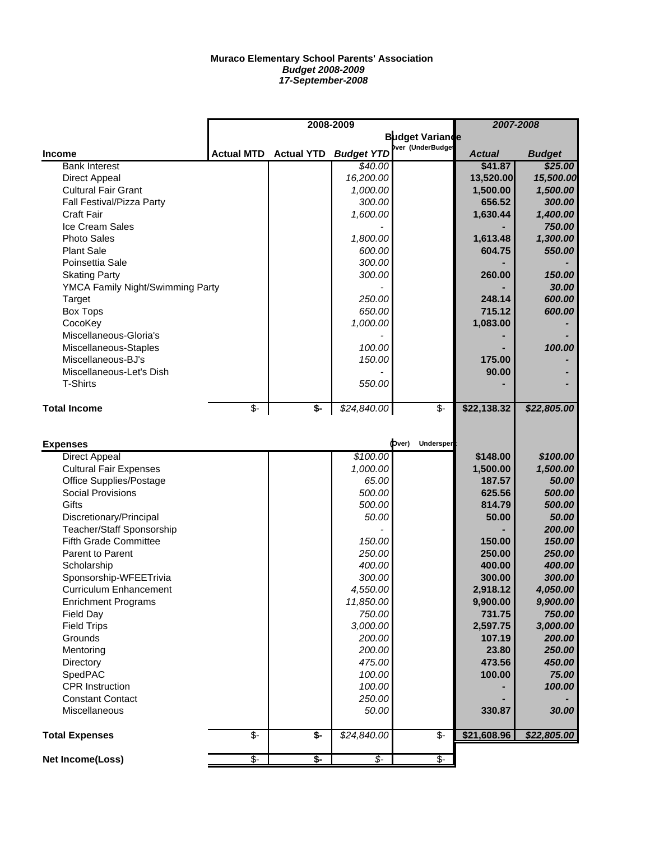## **Muraco Elementary School Parents' Association** *Budget 2008-2009 17-September-2008*

|                                  | 2008-2009                   |                             |                          |                          | 2007-2008     |               |
|----------------------------------|-----------------------------|-----------------------------|--------------------------|--------------------------|---------------|---------------|
|                                  |                             |                             |                          | <b>Budget Variande</b>   |               |               |
| <b>Income</b>                    | <b>Actual MTD</b>           | <b>Actual YTD</b>           | <b>Budget YTD</b>        | ver (UnderBudge          | <b>Actual</b> | <b>Budget</b> |
| <b>Bank Interest</b>             |                             |                             | \$40.00                  |                          | \$41.87       | \$25.00       |
| <b>Direct Appeal</b>             |                             |                             | 16,200.00                |                          | 13,520.00     | 15,500.00     |
| <b>Cultural Fair Grant</b>       |                             |                             | 1,000.00                 |                          | 1,500.00      | 1,500.00      |
| Fall Festival/Pizza Party        |                             |                             | 300.00                   |                          | 656.52        | 300.00        |
| <b>Craft Fair</b>                |                             |                             | 1,600.00                 |                          | 1,630.44      | 1,400.00      |
| Ice Cream Sales                  |                             |                             |                          |                          |               | 750.00        |
| <b>Photo Sales</b>               |                             |                             | 1,800.00                 |                          | 1,613.48      | 1,300.00      |
| <b>Plant Sale</b>                |                             |                             | 600.00                   |                          | 604.75        | 550.00        |
| Poinsettia Sale                  |                             |                             | 300.00                   |                          |               |               |
| <b>Skating Party</b>             |                             |                             | 300.00                   |                          | 260.00        | 150.00        |
|                                  |                             |                             |                          |                          |               | 30.00         |
| YMCA Family Night/Swimming Party |                             |                             | 250.00                   |                          | 248.14        | 600.00        |
| Target                           |                             |                             | 650.00                   |                          | 715.12        |               |
| <b>Box Tops</b>                  |                             |                             |                          |                          |               | 600.00        |
| CocoKey                          |                             |                             | 1,000.00                 |                          | 1,083.00      |               |
| Miscellaneous-Gloria's           |                             |                             |                          |                          |               |               |
| Miscellaneous-Staples            |                             |                             | 100.00                   |                          |               | 100.00        |
| Miscellaneous-BJ's               |                             |                             | 150.00                   |                          | 175.00        |               |
| Miscellaneous-Let's Dish         |                             |                             |                          |                          | 90.00         |               |
| <b>T-Shirts</b>                  |                             |                             | 550.00                   |                          |               |               |
| <b>Total Income</b>              | $\overline{\mathfrak{s}}$ - | $\overline{\mathfrak{s}}$ - | \$24,840.00              | \$-                      | \$22,138.32   | \$22,805.00   |
|                                  |                             |                             |                          |                          |               |               |
|                                  |                             |                             |                          |                          |               |               |
| <b>Expenses</b>                  |                             |                             |                          | (bver)<br>Undersper      |               |               |
| <b>Direct Appeal</b>             |                             |                             | \$100.00                 |                          | \$148.00      | \$100.00      |
| <b>Cultural Fair Expenses</b>    |                             |                             | 1,000.00                 |                          | 1,500.00      | 1,500.00      |
| Office Supplies/Postage          |                             |                             | 65.00                    |                          | 187.57        | 50.00         |
| <b>Social Provisions</b>         |                             |                             | 500.00                   |                          | 625.56        | 500.00        |
| Gifts                            |                             |                             | 500.00                   |                          | 814.79        | 500.00        |
| Discretionary/Principal          |                             |                             | 50.00                    |                          | 50.00         | 50.00         |
| <b>Teacher/Staff Sponsorship</b> |                             |                             |                          |                          |               | 200.00        |
| <b>Fifth Grade Committee</b>     |                             |                             | 150.00                   |                          | 150.00        | 150.00        |
| Parent to Parent                 |                             |                             | 250.00                   |                          | 250.00        | 250.00        |
| Scholarship                      |                             |                             | 400.00                   |                          | 400.00        | 400.00        |
| Sponsorship-WFEETrivia           |                             |                             | 300.00                   |                          | 300.00        | 300.00        |
| Curriculum Enhancement           |                             |                             | 4,550.00                 |                          | 2,918.12      | 4,050.00      |
| <b>Enrichment Programs</b>       |                             |                             | 11,850.00                |                          | 9,900.00      | 9,900.00      |
| Field Day                        |                             |                             | 750.00                   |                          | 731.75        | 750.00        |
| <b>Field Trips</b>               |                             |                             | 3,000.00                 |                          | 2,597.75      | 3,000.00      |
| Grounds                          |                             |                             | 200.00                   |                          | 107.19        | 200.00        |
| Mentoring                        |                             |                             | 200.00                   |                          | 23.80         | 250.00        |
| Directory                        |                             |                             | 475.00                   |                          | 473.56        | 450.00        |
| SpedPAC                          |                             |                             | 100.00                   |                          | 100.00        | 75.00         |
| <b>CPR Instruction</b>           |                             |                             | 100.00                   |                          |               | 100.00        |
| <b>Constant Contact</b>          |                             |                             | 250.00                   |                          |               |               |
| Miscellaneous                    |                             |                             | 50.00                    |                          | 330.87        | 30.00         |
|                                  |                             |                             |                          |                          |               |               |
| <b>Total Expenses</b>            | \$-                         | \$-                         | \$24,840.00              | \$-                      | \$21,608.96   | \$22,805.00   |
| Net Income(Loss)                 | $\overline{\mathcal{F}}$    | $\overline{\mathbf{S}}$     | $\overline{\mathcal{L}}$ | $\overline{\mathcal{F}}$ |               |               |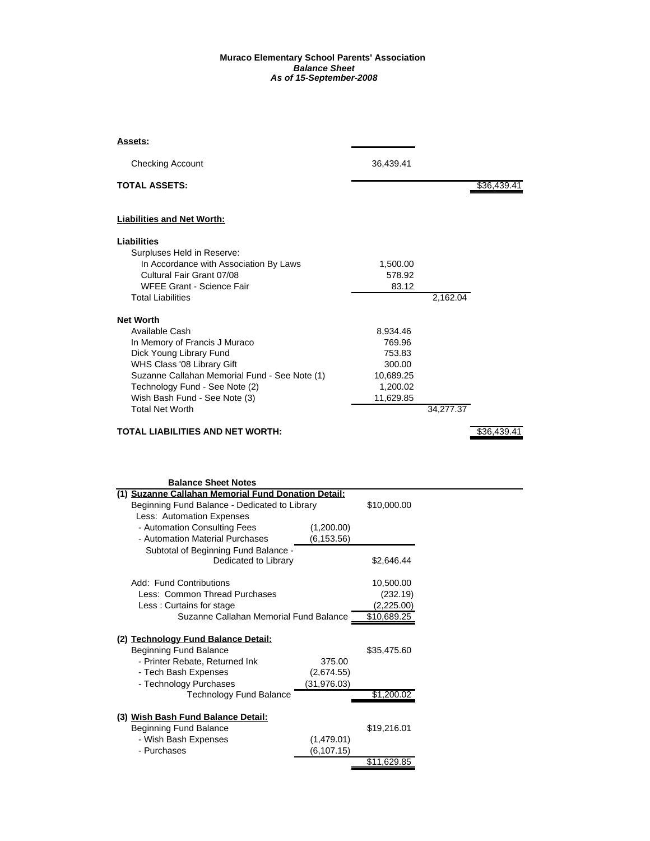## **Muraco Elementary School Parents' Association** *Balance Sheet As of 15-September-2008*

| Assets:                                       |           |           |             |
|-----------------------------------------------|-----------|-----------|-------------|
| <b>Checking Account</b>                       | 36,439.41 |           |             |
| <b>TOTAL ASSETS:</b>                          |           |           | \$36,439.41 |
| <b>Liabilities and Net Worth:</b>             |           |           |             |
| Liabilities                                   |           |           |             |
| Surpluses Held in Reserve:                    |           |           |             |
| In Accordance with Association By Laws        | 1,500.00  |           |             |
| Cultural Fair Grant 07/08                     | 578.92    |           |             |
| <b>WFEE Grant - Science Fair</b>              | 83.12     |           |             |
| <b>Total Liabilities</b>                      |           | 2,162.04  |             |
| <b>Net Worth</b>                              |           |           |             |
| Available Cash                                | 8,934.46  |           |             |
| In Memory of Francis J Muraco                 | 769.96    |           |             |
| Dick Young Library Fund                       | 753.83    |           |             |
| WHS Class '08 Library Gift                    | 300.00    |           |             |
| Suzanne Callahan Memorial Fund - See Note (1) | 10,689.25 |           |             |
| Technology Fund - See Note (2)                | 1,200.02  |           |             |
| Wish Bash Fund - See Note (3)                 | 11,629.85 |           |             |
| <b>Total Net Worth</b>                        |           | 34,277.37 |             |
| <b>TOTAL LIABILITIES AND NET WORTH:</b>       |           |           | \$36,439.41 |

| <b>Balance Sheet Notes</b>                          |             |             |  |  |  |  |  |
|-----------------------------------------------------|-------------|-------------|--|--|--|--|--|
| (1) Suzanne Callahan Memorial Fund Donation Detail: |             |             |  |  |  |  |  |
| Beginning Fund Balance - Dedicated to Library       | \$10,000.00 |             |  |  |  |  |  |
| Less: Automation Expenses                           |             |             |  |  |  |  |  |
| - Automation Consulting Fees                        | (1,200.00)  |             |  |  |  |  |  |
| - Automation Material Purchases                     | (6, 153.56) |             |  |  |  |  |  |
| Subtotal of Beginning Fund Balance -                |             |             |  |  |  |  |  |
| Dedicated to Library                                |             | \$2,646.44  |  |  |  |  |  |
|                                                     |             |             |  |  |  |  |  |
| Add: Fund Contributions                             |             | 10,500.00   |  |  |  |  |  |
| Less: Common Thread Purchases                       |             | (232.19)    |  |  |  |  |  |
| Less: Curtains for stage                            |             | (2,225.00)  |  |  |  |  |  |
| Suzanne Callahan Memorial Fund Balance              | \$10,689.25 |             |  |  |  |  |  |
|                                                     |             |             |  |  |  |  |  |
| (2) Technology Fund Balance Detail:                 |             |             |  |  |  |  |  |
| <b>Beginning Fund Balance</b>                       |             | \$35.475.60 |  |  |  |  |  |
| - Printer Rebate, Returned Ink                      | 375.00      |             |  |  |  |  |  |
| - Tech Bash Expenses                                | (2,674.55)  |             |  |  |  |  |  |
| - Technology Purchases                              | (31,976.03) |             |  |  |  |  |  |
| <b>Technology Fund Balance</b>                      |             | \$1,200.02  |  |  |  |  |  |
|                                                     |             |             |  |  |  |  |  |
| (3) Wish Bash Fund Balance Detail:                  |             |             |  |  |  |  |  |
| <b>Beginning Fund Balance</b>                       |             | \$19,216.01 |  |  |  |  |  |
| - Wish Bash Expenses                                | (1,479.01)  |             |  |  |  |  |  |
| - Purchases                                         | (6,107.15)  |             |  |  |  |  |  |
|                                                     |             | \$11.629.85 |  |  |  |  |  |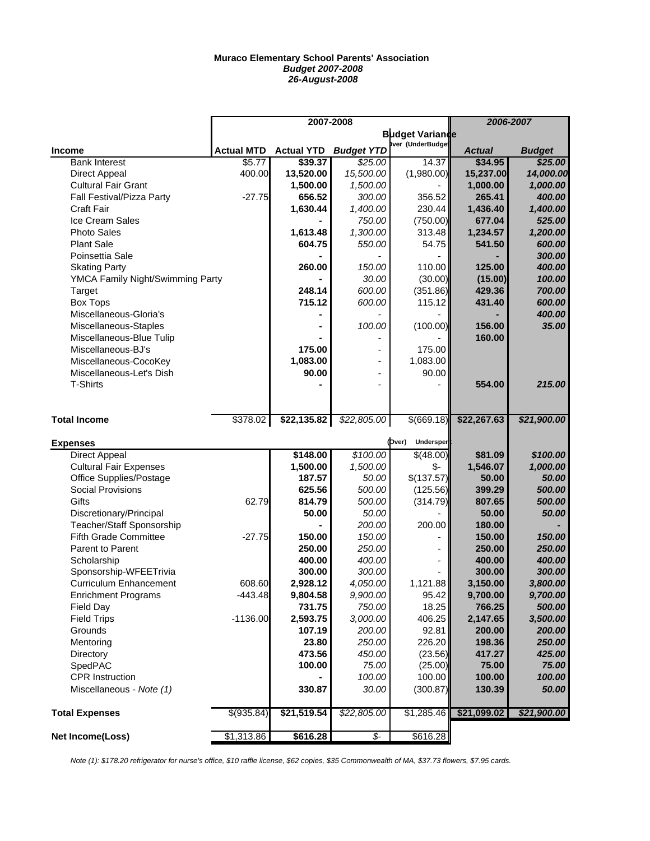## **Muraco Elementary School Parents' Association** *Budget 2007-2008 26-August-2008*

|                                  |                   | 2007-2008         | 2006-2007                |                            |               |               |
|----------------------------------|-------------------|-------------------|--------------------------|----------------------------|---------------|---------------|
|                                  |                   |                   | <b>Budget Variande</b>   |                            |               |               |
| <b>Income</b>                    | <b>Actual MTD</b> | <b>Actual YTD</b> | <b>Budget YTD</b>        | Ver (UnderBudge            | <b>Actual</b> | <b>Budget</b> |
| <b>Bank Interest</b>             | \$5.77            | \$39.37           | \$25.00                  | 14.37                      | \$34.95       | \$25.00       |
| Direct Appeal                    | 400.00            | 13,520.00         | 15,500.00                | (1,980.00)                 | 15,237.00     | 14,000.00     |
| <b>Cultural Fair Grant</b>       |                   | 1,500.00          | 1,500.00                 |                            | 1,000.00      | 1,000.00      |
| Fall Festival/Pizza Party        | $-27.75$          | 656.52            | 300.00                   | 356.52                     | 265.41        | 400.00        |
| <b>Craft Fair</b>                |                   | 1,630.44          | 1,400.00                 | 230.44                     | 1,436.40      | 1,400.00      |
| <b>Ice Cream Sales</b>           |                   |                   | 750.00                   | (750.00)                   | 677.04        | 525.00        |
| <b>Photo Sales</b>               |                   | 1,613.48          | 1,300.00                 | 313.48                     | 1,234.57      | 1,200.00      |
| <b>Plant Sale</b>                |                   | 604.75            | 550.00                   | 54.75                      | 541.50        | 600.00        |
| Poinsettia Sale                  |                   |                   |                          |                            |               | 300.00        |
| <b>Skating Party</b>             |                   | 260.00            | 150.00                   | 110.00                     | 125.00        | 400.00        |
| YMCA Family Night/Swimming Party |                   |                   | 30.00                    | (30.00)                    | (15.00)       | 100.00        |
| Target                           |                   | 248.14            | 600.00                   | (351.86)                   | 429.36        | 700.00        |
| <b>Box Tops</b>                  |                   | 715.12            | 600.00                   | 115.12                     | 431.40        | 600.00        |
| Miscellaneous-Gloria's           |                   |                   |                          |                            |               | 400.00        |
| Miscellaneous-Staples            |                   |                   | 100.00                   | (100.00)                   | 156.00        | 35.00         |
| Miscellaneous-Blue Tulip         |                   |                   |                          |                            | 160.00        |               |
| Miscellaneous-BJ's               |                   | 175.00            |                          | 175.00                     |               |               |
| Miscellaneous-CocoKey            |                   | 1,083.00          |                          | 1,083.00                   |               |               |
| Miscellaneous-Let's Dish         |                   | 90.00             |                          | 90.00                      |               |               |
| <b>T-Shirts</b>                  |                   |                   |                          |                            | 554.00        | 215.00        |
|                                  |                   |                   |                          |                            |               |               |
| <b>Total Income</b>              | \$378.02          | \$22,135.82       | \$22,805.00              | \$(669.18)                 | \$22,267.63   | \$21,900.00   |
| <b>Expenses</b>                  |                   |                   |                          | (Dver)<br><b>Undersper</b> |               |               |
| <b>Direct Appeal</b>             |                   | \$148.00          | \$100.00                 | \$(48.00)                  | \$81.09       | \$100.00      |
| <b>Cultural Fair Expenses</b>    |                   | 1,500.00          | 1,500.00                 | \$-                        | 1,546.07      | 1,000.00      |
| Office Supplies/Postage          |                   | 187.57            | 50.00                    | \$(137.57)                 | 50.00         | 50.00         |
| <b>Social Provisions</b>         |                   | 625.56            | 500.00                   | (125.56)                   | 399.29        | 500.00        |
| Gifts                            | 62.79             | 814.79            | 500.00                   | (314.79)                   | 807.65        | 500.00        |
| Discretionary/Principal          |                   | 50.00             | 50.00                    |                            | 50.00         | 50.00         |
| <b>Teacher/Staff Sponsorship</b> |                   |                   | 200.00                   | 200.00                     | 180.00        |               |
| Fifth Grade Committee            | $-27.75$          | 150.00            | 150.00                   |                            | 150.00        | 150.00        |
| Parent to Parent                 |                   | 250.00            | 250.00                   |                            | 250.00        | 250.00        |
| Scholarship                      |                   | 400.00            | 400.00                   |                            | 400.00        | 400.00        |
| Sponsorship-WFEETrivia           |                   | 300.00            | 300.00                   |                            | 300.00        | 300.00        |
| <b>Curriculum Enhancement</b>    | 608.60            | 2,928.12          | 4,050.00                 | 1,121.88                   | 3,150.00      | 3,800.00      |
| <b>Enrichment Programs</b>       | -443.48           | 9,804.58          | 9,900.00                 | 95.42                      | 9,700.00      | 9,700.00      |
| Field Day                        |                   | 731.75            | 750.00                   | 18.25                      | 766.25        | 500.00        |
| <b>Field Trips</b>               | $-1136.00$        | 2,593.75          | 3,000.00                 | 406.25                     | 2,147.65      | 3,500.00      |
| Grounds                          |                   | 107.19            | 200.00                   | 92.81                      | 200.00        | 200.00        |
| Mentoring                        |                   | 23.80             | 250.00                   | 226.20                     | 198.36        | 250.00        |
| Directory                        |                   | 473.56            | 450.00                   | (23.56)                    | 417.27        | 425.00        |
| SpedPAC                          |                   | 100.00            | 75.00                    | (25.00)                    | 75.00         | 75.00         |
| CPR Instruction                  |                   |                   | 100.00                   | 100.00                     | 100.00        | 100.00        |
| Miscellaneous - Note (1)         |                   | 330.87            | 30.00                    | (300.87)                   | 130.39        | 50.00         |
|                                  |                   |                   |                          |                            |               |               |
| <b>Total Expenses</b>            | \$(935.84)        | \$21,519.54       | \$22,805.00              | \$1,285.46                 | \$21,099.02   | \$21,900.00   |
| Net Income(Loss)                 | \$1,313.86        | \$616.28          | $\overline{\mathcal{L}}$ | \$616.28                   |               |               |

*Note (1): \$178.20 refrigerator for nurse's office, \$10 raffle license, \$62 copies, \$35 Commonwealth of MA, \$37.73 flowers, \$7.95 cards.*